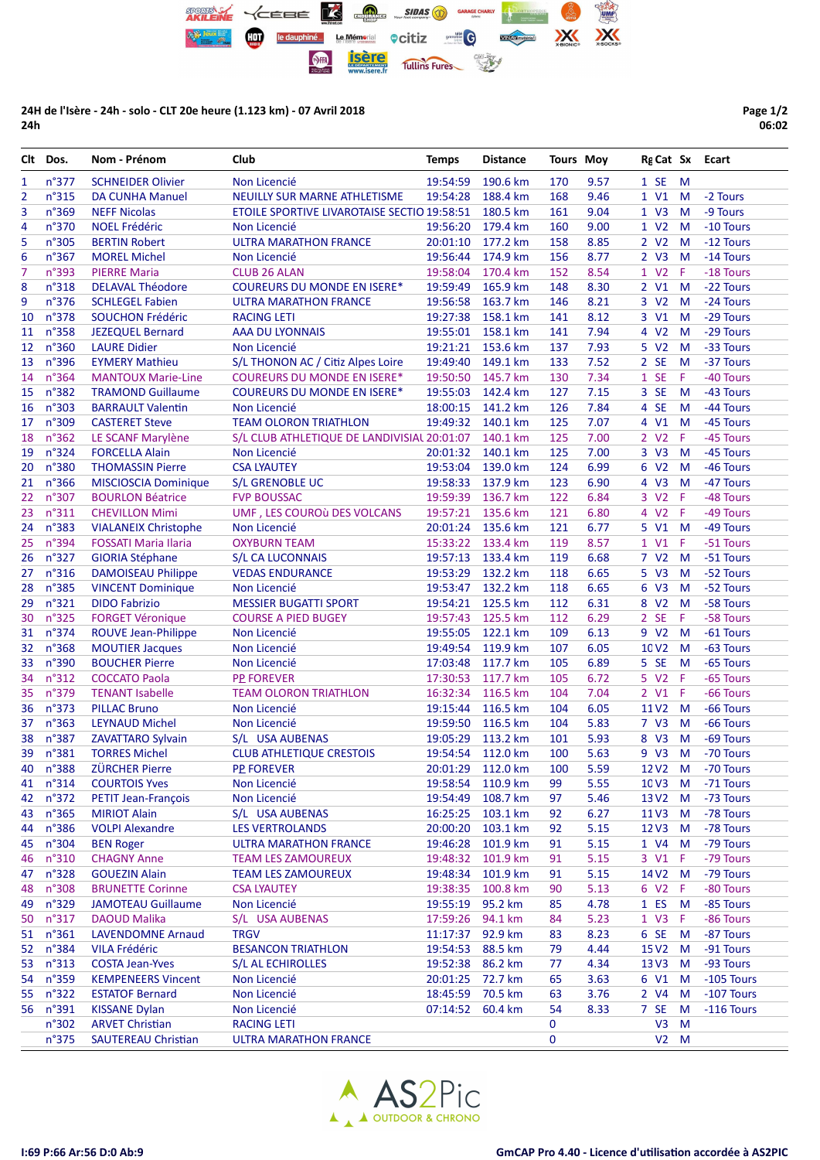

24H de l'Isère - 24h - solo - CLT 20e heure (1.123 km) - 07 Avril 2018 24h

Page 1/2 06:02

|    | Clt Dos.       | Nom - Prénom                | Club                                        | <b>Temps</b>      | <b>Distance</b>            | <b>Tours Moy</b> |      | Rg Cat Sx Ecart   |        |                   |
|----|----------------|-----------------------------|---------------------------------------------|-------------------|----------------------------|------------------|------|-------------------|--------|-------------------|
| 1  | n°377          | <b>SCHNEIDER Olivier</b>    | Non Licencié                                | 19:54:59          | 190.6 km                   | 170              | 9.57 | 1 S E             | M      |                   |
| 2  | n°315          | <b>DA CUNHA Manuel</b>      | NEUILLY SUR MARNE ATHLETISME                | 19:54:28          | 188.4 km                   | 168              | 9.46 | 1 V1              | M      | -2 Tours          |
| 3  | n°369          | <b>NEFF Nicolas</b>         | ETOILE SPORTIVE LIVAROTAISE SECTIO 19:58:51 |                   | 180.5 km                   | 161              | 9.04 | 1 V3              | M      | -9 Tours          |
| 4  | n°370          | <b>NOEL Frédéric</b>        | Non Licencié                                | 19:56:20          | 179.4 km                   | 160              | 9.00 | 1 V2 M            |        | -10 Tours         |
| 5  | n°305          | <b>BERTIN Robert</b>        | <b>ULTRA MARATHON FRANCE</b>                | 20:01:10          | 177.2 km                   | 158              | 8.85 | 2 V <sub>2</sub>  | M      | -12 Tours         |
| 6  | n°367          | <b>MOREL Michel</b>         | Non Licencié                                | 19:56:44          | 174.9 km                   | 156              | 8.77 | 2 V3              | M      | -14 Tours         |
| 7  | n°393          | <b>PIERRE Maria</b>         | <b>CLUB 26 ALAN</b>                         | 19:58:04          | 170.4 km                   | 152              | 8.54 | 1 V2              | -F     | -18 Tours         |
| 8  | n°318          | <b>DELAVAL Théodore</b>     | <b>COUREURS DU MONDE EN ISERE*</b>          | 19:59:49          | 165.9 km                   | 148              | 8.30 | 2 V1              | M      | -22 Tours         |
| 9  | n°376          | <b>SCHLEGEL Fabien</b>      | <b>ULTRA MARATHON FRANCE</b>                | 19:56:58          | 163.7 km                   | 146              | 8.21 | 3 V2              | M      | -24 Tours         |
| 10 | n°378          | <b>SOUCHON Frédéric</b>     | <b>RACING LETI</b>                          | 19:27:38          | 158.1 km                   | 141              | 8.12 | 3 V1              | M      | -29 Tours         |
| 11 | n°358          | <b>JEZEQUEL Bernard</b>     | <b>AAA DU LYONNAIS</b>                      | 19:55:01          | 158.1 km                   | 141              | 7.94 | 4 V2              | M      | -29 Tours         |
| 12 | n°360          | <b>LAURE Didier</b>         | Non Licencié                                | 19:21:21          | 153.6 km                   | 137              | 7.93 | 5 V <sub>2</sub>  | M      | -33 Tours         |
| 13 | n°396          | <b>EYMERY Mathieu</b>       | S/L THONON AC / Citiz Alpes Loire           | 19:49:40          | 149.1 km                   | 133              | 7.52 | 2 SE              | M      | -37 Tours         |
| 14 | n°364          | <b>MANTOUX Marie-Line</b>   | <b>COUREURS DU MONDE EN ISERE*</b>          | 19:50:50          | 145.7 km                   | 130              | 7.34 | 1 SE              | Æ      | -40 Tours         |
| 15 | n°382          | <b>TRAMOND Guillaume</b>    | <b>COUREURS DU MONDE EN ISERE*</b>          | 19:55:03          | 142.4 km                   | 127              | 7.15 | 3 SE              | M      | -43 Tours         |
| 16 | n°303          | <b>BARRAULT Valentin</b>    | Non Licencié                                | 18:00:15          | 141.2 km                   | 126              | 7.84 | 4 SE              | M      | -44 Tours         |
| 17 | n°309          | <b>CASTERET Steve</b>       | <b>TEAM OLORON TRIATHLON</b>                | 19:49:32          | 140.1 km                   | 125              | 7.07 | 4 V1              | M      | -45 Tours         |
| 18 | n°362          | LE SCANF Marylène           | S/L CLUB ATHLETIQUE DE LANDIVISIAL 20:01:07 |                   | 140.1 km                   | 125              | 7.00 | 2 V <sub>2</sub>  | Æ      | -45 Tours         |
| 19 | n°324          | <b>FORCELLA Alain</b>       | Non Licencié                                | 20:01:32          | 140.1 km                   | 125              | 7.00 | 3 V3              | M      | -45 Tours         |
| 20 | n°380          | <b>THOMASSIN Pierre</b>     | <b>CSA LYAUTEY</b>                          | 19:53:04          | 139.0 km                   | 124              | 6.99 | 6 V <sub>2</sub>  | M      | -46 Tours         |
| 21 | n°366          | <b>MISCIOSCIA Dominique</b> | <b>S/L GRENOBLE UC</b>                      | 19:58:33          | 137.9 km                   | 123              | 6.90 | 4 V3              | M      | -47 Tours         |
| 22 | n°307          | <b>BOURLON Béatrice</b>     | <b>FVP BOUSSAC</b>                          | 19:59:39          | 136.7 km                   | 122              | 6.84 | 3 V2 F            |        | -48 Tours         |
| 23 | n°311          | <b>CHEVILLON Mimi</b>       | UMF, LES COUROÙ DES VOLCANS                 | 19:57:21          | 135.6 km                   | 121              | 6.80 | 4 V2 F            |        | -49 Tours         |
| 24 | n°383          | <b>VIALANEIX Christophe</b> | Non Licencié                                | 20:01:24          | 135.6 km                   | 121              | 6.77 | 5 V1 M            |        | -49 Tours         |
| 25 | n°394          | <b>FOSSATI Maria Ilaria</b> | <b>OXYBURN TEAM</b>                         | 15:33:22          | 133.4 km                   | 119              | 8.57 | 1 V1              | Æ      | -51 Tours         |
| 26 | n°327          | <b>GIORIA Stéphane</b>      | <b>S/L CA LUCONNAIS</b>                     | 19:57:13          | 133.4 km                   | 119              | 6.68 | 7 V <sub>2</sub>  | M      | -51 Tours         |
| 27 | n°316          | <b>DAMOISEAU Philippe</b>   | <b>VEDAS ENDURANCE</b>                      | 19:53:29          | 132.2 km                   | 118              | 6.65 | 5 V3              | M      | -52 Tours         |
| 28 | n°385          | <b>VINCENT Dominique</b>    | Non Licencié                                | 19:53:47          | 132.2 km                   | 118              | 6.65 | 6 V3              | M      | -52 Tours         |
| 29 | n°321          | <b>DIDO Fabrizio</b>        | <b>MESSIER BUGATTI SPORT</b>                | 19:54:21          | 125.5 km                   | 112              | 6.31 | 8 V2              | M      | -58 Tours         |
| 30 | n°325          | <b>FORGET Véronique</b>     | <b>COURSE A PIED BUGEY</b>                  | 19:57:43          | 125.5 km                   | 112              | 6.29 | 2 SE              | F      | -58 Tours         |
| 31 | n°374          | ROUVE Jean-Philippe         | Non Licencié                                | 19:55:05          | 122.1 km                   | 109              | 6.13 | 9 V <sub>2</sub>  | M      | -61 Tours         |
| 32 | n°368          | <b>MOUTIER Jacques</b>      | Non Licencié                                | 19:49:54          | 119.9 km                   | 107              | 6.05 | 10 V <sub>2</sub> | M      | -63 Tours         |
| 33 | n°390          | <b>BOUCHER Pierre</b>       | Non Licencié                                | 17:03:48          | 117.7 km                   | 105              | 6.89 | 5 SE              | M      | -65 Tours         |
| 34 | n°312          | <b>COCCATO Paola</b>        | <b>PP FOREVER</b>                           | 17:30:53          | 117.7 km                   | 105              | 6.72 | 5 V2 F            |        | -65 Tours         |
| 35 | n°379          | <b>TENANT Isabelle</b>      | <b>TEAM OLORON TRIATHLON</b>                | 16:32:34          | 116.5 km                   | 104              | 7.04 | 2 V1 F            |        | -66 Tours         |
| 36 | n°373          | <b>PILLAC Bruno</b>         | Non Licencié                                | 19:15:44          | 116.5 km                   | 104              | 6.05 | 11 <sub>V2</sub>  | M      | -66 Tours         |
| 37 | n°363          | <b>LEYNAUD Michel</b>       | Non Licencié                                | 19:59:50          | 116.5 km                   | 104              | 5.83 | 7 V3              | M      | -66 Tours         |
| 38 | n°387          | ZAVATTARO Sylvain           | S/L USA AUBENAS                             | 19:05:29          | 113.2 km                   | 101              | 5.93 | 8 V3              | M      | -69 Tours         |
|    | 39 n°381       | <b>TORRES Michel</b>        | <b>CLUB ATHLETIQUE CRESTOIS</b>             | 19:54:54 112.0 km |                            | 100              | 5.63 | 9 V3 M            |        | -70 Tours         |
|    | 40 n°388       | ZÜRCHER Pierre PP FOREVER   |                                             |                   | 20:01:29 112.0 km 100 5.59 |                  |      |                   |        | 12 V2 M -70 Tours |
|    | 41 n°314       | <b>COURTOIS Yves</b>        | Non Licencié                                | 19:58:54          | 110.9 km                   | 99               | 5.55 | 10 V3 M           |        | -71 Tours         |
| 42 | $n^{\circ}372$ | PETIT Jean-François         | Non Licencié                                | 19:54:49          | 108.7 km                   | 97               | 5.46 | 13 V2             | M      | -73 Tours         |
| 43 | n°365          | <b>MIRIOT Alain</b>         | S/L USA AUBENAS                             | 16:25:25          | 103.1 km                   | 92               | 6.27 | 11 <sub>V3</sub>  | M      | -78 Tours         |
| 44 | n°386          | <b>VOLPI Alexandre</b>      | LES VERTROLANDS                             | 20:00:20          | 103.1 km                   | 92               | 5.15 | 12V3              | M      | -78 Tours         |
| 45 | n°304          | <b>BEN Roger</b>            | <b>ULTRA MARATHON FRANCE</b>                | 19:46:28          | 101.9 km                   | 91               | 5.15 | 1 V4              | M      | -79 Tours         |
| 46 | n°310          | <b>CHAGNY Anne</b>          | <b>TEAM LES ZAMOUREUX</b>                   | 19:48:32          | 101.9 km                   | 91               | 5.15 | 3 V1              | Æ      | -79 Tours         |
| 47 | n°328          | <b>GOUEZIN Alain</b>        | <b>TEAM LES ZAMOUREUX</b>                   | 19:48:34          | 101.9 km                   | 91               | 5.15 | 14 V2 M           |        | -79 Tours         |
| 48 | n°308          | <b>BRUNETTE Corinne</b>     | <b>CSA LYAUTEY</b>                          | 19:38:35          | 100.8 km                   | 90               | 5.13 | 6 V2              | - F    | -80 Tours         |
| 49 | n°329          | <b>JAMOTEAU Guillaume</b>   | Non Licencié                                | 19:55:19          | 95.2 km                    | 85               | 4.78 | 1 ES              | M      | -85 Tours         |
| 50 | n°317          | <b>DAOUD Malika</b>         | S/L USA AUBENAS                             | 17:59:26          | 94.1 km                    | 84               | 5.23 | 1 V3              | Æ      | -86 Tours         |
| 51 | n°361          | <b>LAVENDOMNE Arnaud</b>    | <b>TRGV</b>                                 | 11:17:37          | 92.9 km                    | 83               | 8.23 | 6 SE              | M      | -87 Tours         |
|    | 52 n°384       | <b>VILA Frédéric</b>        | <b>BESANCON TRIATHLON</b>                   | 19:54:53          | 88.5 km                    | 79               | 4.44 | 15 V <sub>2</sub> | M      | -91 Tours         |
| 53 | n°313          | <b>COSTA Jean-Yves</b>      | S/L AL ECHIROLLES                           | 19:52:38          | 86.2 km                    | 77               | 4.34 | 13V3              | M      | -93 Tours         |
| 54 | n°359          | <b>KEMPENEERS Vincent</b>   | Non Licencié                                | 20:01:25          | 72.7 km                    | 65               | 3.63 | 6 V1              | M      | -105 Tours        |
| 55 | n°322          | <b>ESTATOF Bernard</b>      | Non Licencié                                | 18:45:59          | 70.5 km                    | 63               | 3.76 | 2 V4              | M      | -107 Tours        |
| 56 | n°391          | <b>KISSANE Dylan</b>        | Non Licencié                                | 07:14:52          | 60.4 km                    | 54               | 8.33 | 7 SE              | M      | $-116$ Tours      |
|    | n°302          | <b>ARVET Christian</b>      | <b>RACING LETI</b>                          |                   |                            | 0                |      | V <sub>3</sub>    | M      |                   |
|    | n°375          | <b>SAUTEREAU Christian</b>  | <b>ULTRA MARATHON FRANCE</b>                |                   |                            | $\mathbf 0$      |      |                   | $V2$ M |                   |